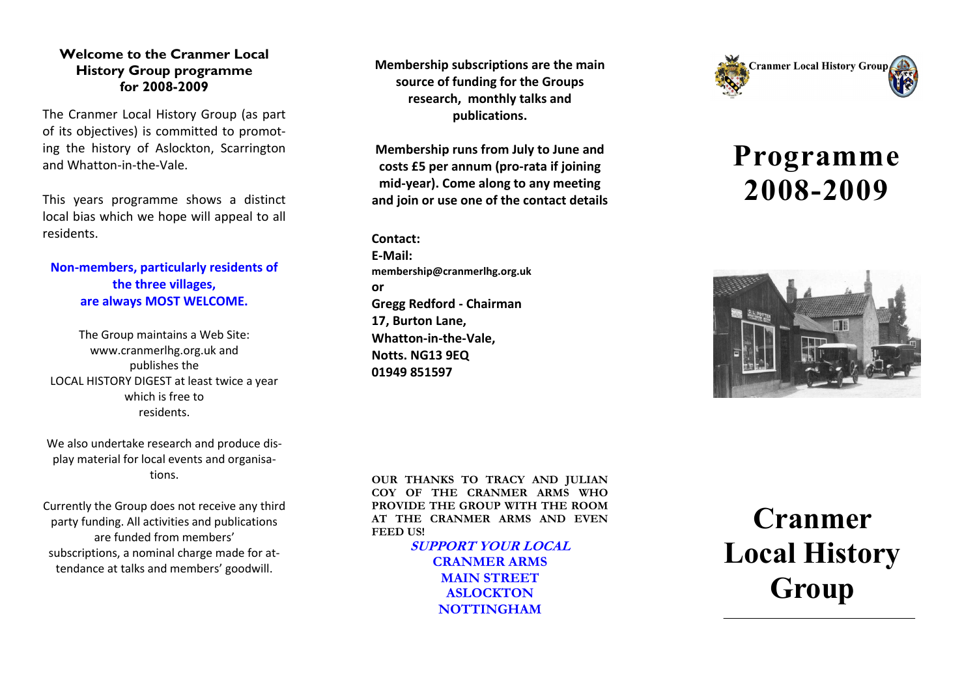## **Welcome to the Cranmer Local History Group programme for 2008 -2009**

The Cranmer Local History Group (as part of its objectives) is committed to promoting the history of Aslockton, Scarrington and Whatton -in -the -Vale.

This years programme shows a distinct local bias which we hope will appeal to all residents.

## **Non -members, particularly residents of the three villages, are always MOST WELCOME.**

The Group maintains a Web Site: www.cranmerlhg.org.uk and publishes the LOCAL HISTORY DIGEST at least twice a year which is free to residents.

We also undertake research and produce display material for local events and organisations.

Currently the Group does not receive any third party funding. All activities and publications are funded from members' subscriptions, a nominal charge made for attendance at talks and members' goodwill.

**Membership subscriptions are the main source of funding for the Groups research, monthly talks and publications.**

**Membership runs from July to June and costs £5 per annum (pro -rata if joining mid -year). Come along to any meeting and join or use one of the contact details** 

**Contact: E-Mail: membership@cranmerlhg.org.uk or Gregg Redford - Chairman 17, Burton Lane, Whatton -in -the -Vale, Notts. NG13 9EQ 01949 851597**



## **Programme 2008 -2009**



**OUR THANKS TO TRACY AND JULIAN COY OF THE CRANMER ARMS WHO PROVIDE THE GROUP WITH THE ROOM AT THE CRANMER ARMS AND EVEN FEED US!**

> **SUPPORT YOUR LOCAL CRANMER ARMS**

**MAIN STREET ASLOCKTON NOTTINGHAM**

**Cranmer Local History Group**